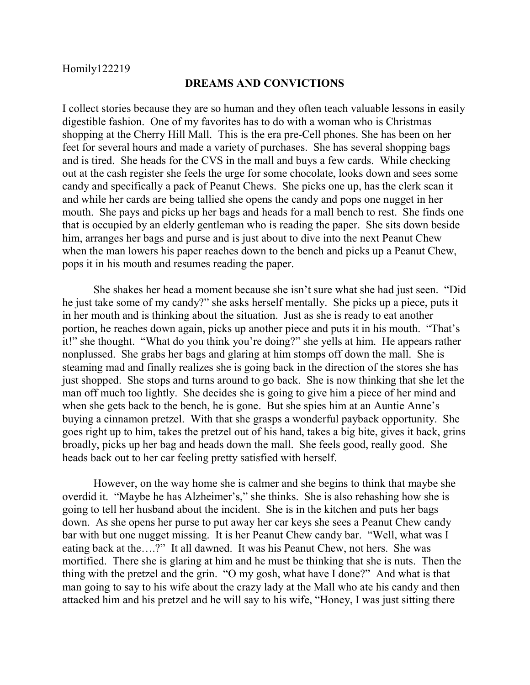## **DREAMS AND CONVICTIONS**

I collect stories because they are so human and they often teach valuable lessons in easily digestible fashion. One of my favorites has to do with a woman who is Christmas shopping at the Cherry Hill Mall. This is the era pre-Cell phones. She has been on her feet for several hours and made a variety of purchases. She has several shopping bags and is tired. She heads for the CVS in the mall and buys a few cards. While checking out at the cash register she feels the urge for some chocolate, looks down and sees some candy and specifically a pack of Peanut Chews. She picks one up, has the clerk scan it and while her cards are being tallied she opens the candy and pops one nugget in her mouth. She pays and picks up her bags and heads for a mall bench to rest. She finds one that is occupied by an elderly gentleman who is reading the paper. She sits down beside him, arranges her bags and purse and is just about to dive into the next Peanut Chew when the man lowers his paper reaches down to the bench and picks up a Peanut Chew, pops it in his mouth and resumes reading the paper.

She shakes her head a moment because she isn't sure what she had just seen. "Did he just take some of my candy?" she asks herself mentally. She picks up a piece, puts it in her mouth and is thinking about the situation. Just as she is ready to eat another portion, he reaches down again, picks up another piece and puts it in his mouth. "That's it!" she thought. "What do you think you're doing?" she yells at him. He appears rather nonplussed. She grabs her bags and glaring at him stomps off down the mall. She is steaming mad and finally realizes she is going back in the direction of the stores she has just shopped. She stops and turns around to go back. She is now thinking that she let the man off much too lightly. She decides she is going to give him a piece of her mind and when she gets back to the bench, he is gone. But she spies him at an Auntie Anne's buying a cinnamon pretzel. With that she grasps a wonderful payback opportunity. She goes right up to him, takes the pretzel out of his hand, takes a big bite, gives it back, grins broadly, picks up her bag and heads down the mall. She feels good, really good. She heads back out to her car feeling pretty satisfied with herself.

However, on the way home she is calmer and she begins to think that maybe she overdid it. "Maybe he has Alzheimer's," she thinks. She is also rehashing how she is going to tell her husband about the incident. She is in the kitchen and puts her bags down. As she opens her purse to put away her car keys she sees a Peanut Chew candy bar with but one nugget missing. It is her Peanut Chew candy bar. "Well, what was I eating back at the….?" It all dawned. It was his Peanut Chew, not hers. She was mortified. There she is glaring at him and he must be thinking that she is nuts. Then the thing with the pretzel and the grin. "O my gosh, what have I done?" And what is that man going to say to his wife about the crazy lady at the Mall who ate his candy and then attacked him and his pretzel and he will say to his wife, "Honey, I was just sitting there